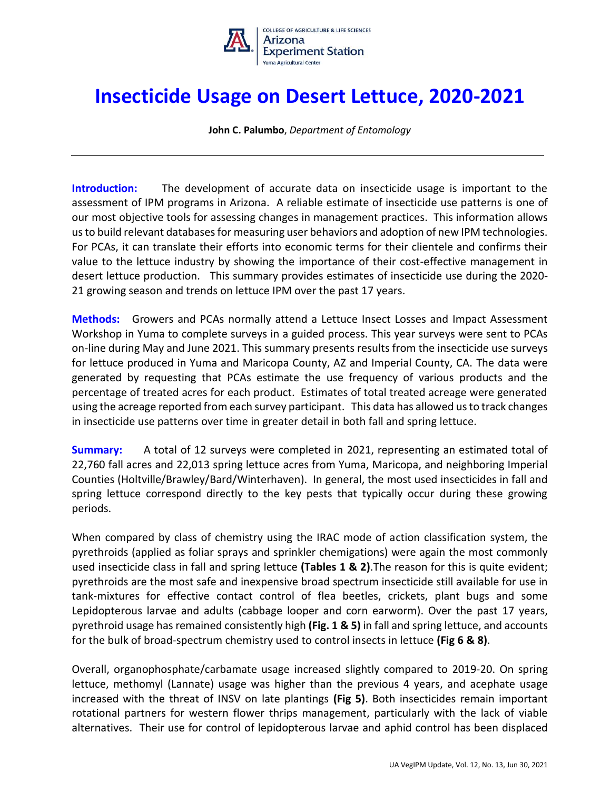

## **Insecticide Usage on Desert Lettuce, 2020-2021**

**John C. Palumbo**, *Department of Entomology*

**Introduction:** The development of accurate data on insecticide usage is important to the assessment of IPM programs in Arizona. A reliable estimate of insecticide use patterns is one of our most objective tools for assessing changes in management practices. This information allows us to build relevant databases for measuring user behaviors and adoption of new IPM technologies. For PCAs, it can translate their efforts into economic terms for their clientele and confirms their value to the lettuce industry by showing the importance of their cost-effective management in desert lettuce production. This summary provides estimates of insecticide use during the 2020- 21 growing season and trends on lettuce IPM over the past 17 years.

**Methods:** Growers and PCAs normally attend a Lettuce Insect Losses and Impact Assessment Workshop in Yuma to complete surveys in a guided process. This year surveys were sent to PCAs on-line during May and June 2021. This summary presents results from the insecticide use surveys for lettuce produced in Yuma and Maricopa County, AZ and Imperial County, CA. The data were generated by requesting that PCAs estimate the use frequency of various products and the percentage of treated acres for each product. Estimates of total treated acreage were generated using the acreage reported from each survey participant. This data has allowed us to track changes in insecticide use patterns over time in greater detail in both fall and spring lettuce.

**Summary:** A total of 12 surveys were completed in 2021, representing an estimated total of 22,760 fall acres and 22,013 spring lettuce acres from Yuma, Maricopa, and neighboring Imperial Counties (Holtville/Brawley/Bard/Winterhaven). In general, the most used insecticides in fall and spring lettuce correspond directly to the key pests that typically occur during these growing periods.

When compared by class of chemistry using the IRAC mode of action classification system, the pyrethroids (applied as foliar sprays and sprinkler chemigations) were again the most commonly used insecticide class in fall and spring lettuce **(Tables 1 & 2)**.The reason for this is quite evident; pyrethroids are the most safe and inexpensive broad spectrum insecticide still available for use in tank-mixtures for effective contact control of flea beetles, crickets, plant bugs and some Lepidopterous larvae and adults (cabbage looper and corn earworm). Over the past 17 years, pyrethroid usage has remained consistently high **(Fig. 1 & 5)** in fall and spring lettuce, and accounts for the bulk of broad-spectrum chemistry used to control insects in lettuce **(Fig 6 & 8)**.

Overall, organophosphate/carbamate usage increased slightly compared to 2019-20. On spring lettuce, methomyl (Lannate) usage was higher than the previous 4 years, and acephate usage increased with the threat of INSV on late plantings **(Fig 5)**. Both insecticides remain important rotational partners for western flower thrips management, particularly with the lack of viable alternatives. Their use for control of lepidopterous larvae and aphid control has been displaced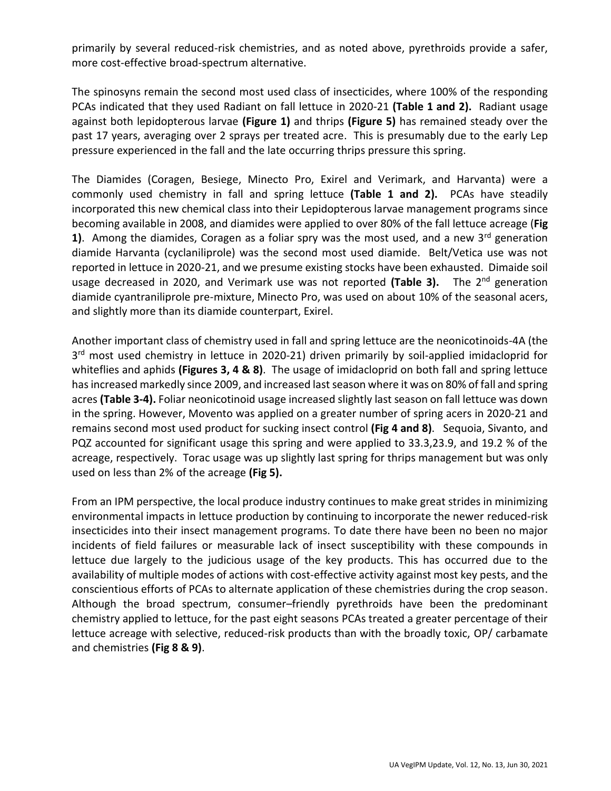primarily by several reduced-risk chemistries, and as noted above, pyrethroids provide a safer, more cost-effective broad-spectrum alternative.

The spinosyns remain the second most used class of insecticides, where 100% of the responding PCAs indicated that they used Radiant on fall lettuce in 2020-21 **(Table 1 and 2).** Radiant usage against both lepidopterous larvae **(Figure 1)** and thrips **(Figure 5)** has remained steady over the past 17 years, averaging over 2 sprays per treated acre. This is presumably due to the early Lep pressure experienced in the fall and the late occurring thrips pressure this spring.

The Diamides (Coragen, Besiege, Minecto Pro, Exirel and Verimark, and Harvanta) were a commonly used chemistry in fall and spring lettuce **(Table 1 and 2).** PCAs have steadily incorporated this new chemical class into their Lepidopterous larvae management programs since becoming available in 2008, and diamides were applied to over 80% of the fall lettuce acreage (**Fig 1)**. Among the diamides, Coragen as a foliar spry was the most used, and a new 3<sup>rd</sup> generation diamide Harvanta (cyclaniliprole) was the second most used diamide. Belt/Vetica use was not reported in lettuce in 2020-21, and we presume existing stocks have been exhausted. Dimaide soil usage decreased in 2020, and Verimark use was not reported (Table 3). The 2<sup>nd</sup> generation diamide cyantraniliprole pre-mixture, Minecto Pro, was used on about 10% of the seasonal acers, and slightly more than its diamide counterpart, Exirel.

Another important class of chemistry used in fall and spring lettuce are the neonicotinoids-4A (the 3<sup>rd</sup> most used chemistry in lettuce in 2020-21) driven primarily by soil-applied imidacloprid for whiteflies and aphids **(Figures 3, 4 & 8)**. The usage of imidacloprid on both fall and spring lettuce has increased markedly since 2009, and increased last season where it was on 80% of fall and spring acres **(Table 3-4).** Foliar neonicotinoid usage increased slightly last season on fall lettuce was down in the spring. However, Movento was applied on a greater number of spring acers in 2020-21 and remains second most used product for sucking insect control **(Fig 4 and 8)**. Sequoia, Sivanto, and PQZ accounted for significant usage this spring and were applied to 33.3,23.9, and 19.2 % of the acreage, respectively. Torac usage was up slightly last spring for thrips management but was only used on less than 2% of the acreage **(Fig 5).** 

From an IPM perspective, the local produce industry continues to make great strides in minimizing environmental impacts in lettuce production by continuing to incorporate the newer reduced-risk insecticides into their insect management programs. To date there have been no been no major incidents of field failures or measurable lack of insect susceptibility with these compounds in lettuce due largely to the judicious usage of the key products. This has occurred due to the availability of multiple modes of actions with cost-effective activity against most key pests, and the conscientious efforts of PCAs to alternate application of these chemistries during the crop season. Although the broad spectrum, consumer–friendly pyrethroids have been the predominant chemistry applied to lettuce, for the past eight seasons PCAs treated a greater percentage of their lettuce acreage with selective, reduced-risk products than with the broadly toxic, OP/ carbamate and chemistries **(Fig 8 & 9)**.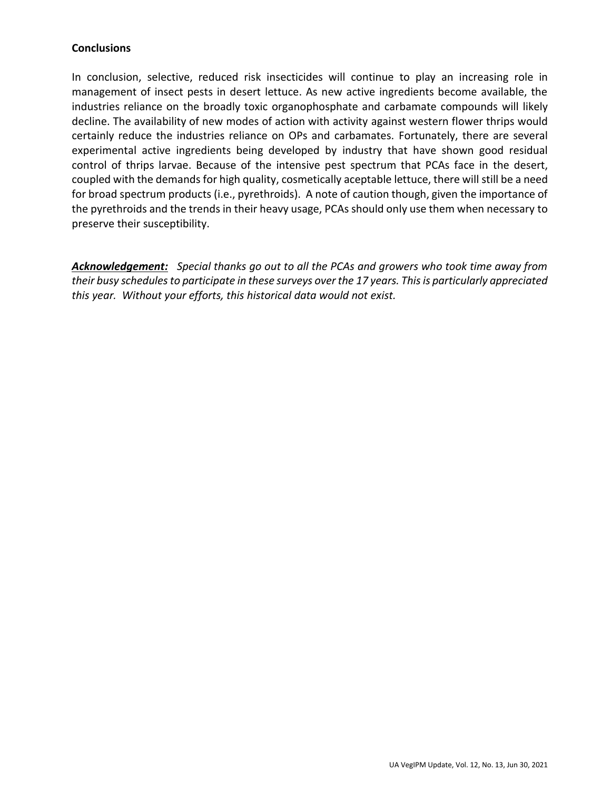## **Conclusions**

In conclusion, selective, reduced risk insecticides will continue to play an increasing role in management of insect pests in desert lettuce. As new active ingredients become available, the industries reliance on the broadly toxic organophosphate and carbamate compounds will likely decline. The availability of new modes of action with activity against western flower thrips would certainly reduce the industries reliance on OPs and carbamates. Fortunately, there are several experimental active ingredients being developed by industry that have shown good residual control of thrips larvae. Because of the intensive pest spectrum that PCAs face in the desert, coupled with the demands for high quality, cosmetically aceptable lettuce, there will still be a need for broad spectrum products (i.e., pyrethroids). A note of caution though, given the importance of the pyrethroids and the trends in their heavy usage, PCAs should only use them when necessary to preserve their susceptibility.

*Acknowledgement: Special thanks go out to all the PCAs and growers who took time away from their busy schedules to participate in these surveys over the 17 years. This is particularly appreciated this year. Without your efforts, this historical data would not exist.*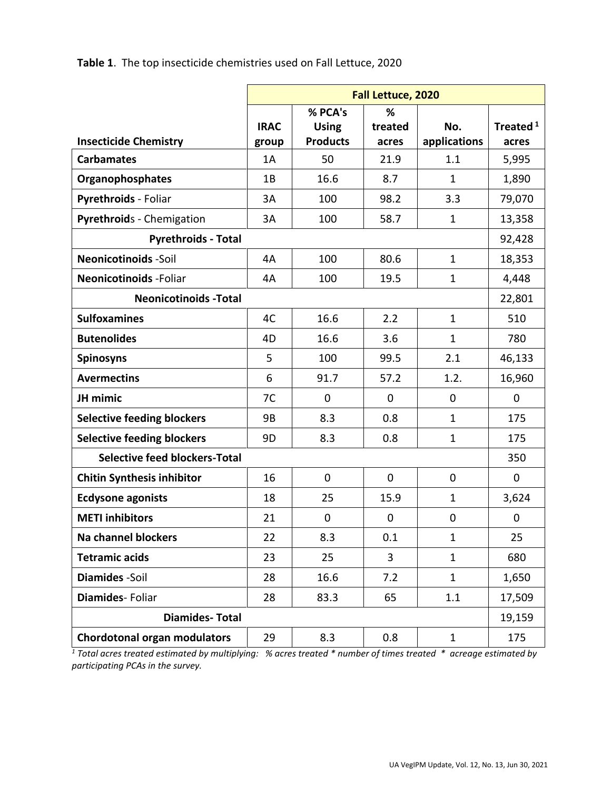**Table 1**. The top insecticide chemistries used on Fall Lettuce, 2020

|                                      | Fall Lettuce, 2020 |                 |         |              |                      |
|--------------------------------------|--------------------|-----------------|---------|--------------|----------------------|
|                                      |                    | % PCA's         | %       |              |                      |
|                                      | <b>IRAC</b>        | <b>Using</b>    | treated | No.          | Treated <sup>1</sup> |
| <b>Insecticide Chemistry</b>         | group              | <b>Products</b> | acres   | applications | acres                |
| <b>Carbamates</b>                    | 1A                 | 50              | 21.9    | 1.1          | 5,995                |
| Organophosphates                     | 1B                 | 16.6            | 8.7     | $\mathbf{1}$ | 1,890                |
| Pyrethroids - Foliar                 | 3A                 | 100             | 98.2    | 3.3          | 79,070               |
| Pyrethroids - Chemigation            | 3A                 | 100             | 58.7    | $\mathbf{1}$ | 13,358               |
| <b>Pyrethroids - Total</b>           |                    |                 |         |              |                      |
| <b>Neonicotinoids -Soil</b>          | 4A                 | 100             | 80.6    | $\mathbf{1}$ | 18,353               |
| <b>Neonicotinoids - Foliar</b>       | 4A                 | 100             | 19.5    | $\mathbf{1}$ | 4,448                |
| <b>Neonicotinoids - Total</b>        |                    |                 |         |              |                      |
| <b>Sulfoxamines</b>                  | 4C                 | 16.6            | 2.2     | $\mathbf{1}$ | 510                  |
| <b>Butenolides</b>                   | 4D                 | 16.6            | 3.6     | $\mathbf{1}$ | 780                  |
| <b>Spinosyns</b>                     | 5                  | 100             | 99.5    | 2.1          | 46,133               |
| <b>Avermectins</b>                   | 6                  | 91.7            | 57.2    | 1.2.         | 16,960               |
| JH mimic                             | 7C                 | $\mathbf 0$     | 0       | 0            | $\overline{0}$       |
| <b>Selective feeding blockers</b>    | 9B                 | 8.3             | 0.8     | $\mathbf{1}$ | 175                  |
| <b>Selective feeding blockers</b>    | 9D                 | 8.3             | 0.8     | $\mathbf{1}$ | 175                  |
| <b>Selective feed blockers-Total</b> |                    |                 |         |              |                      |
| <b>Chitin Synthesis inhibitor</b>    | 16                 | $\mathbf 0$     | 0       | 0            | 0                    |
| <b>Ecdysone agonists</b>             | 18                 | 25              | 15.9    | $\mathbf{1}$ | 3,624                |
| <b>METI</b> inhibitors               | 21                 | 0               | 0       | 0            | 0                    |
| <b>Na channel blockers</b>           | 22                 | 8.3             | 0.1     | $\mathbf{1}$ | 25                   |
| <b>Tetramic acids</b>                | 23                 | 25              | 3       | $\mathbf{1}$ | 680                  |
| Diamides -Soil                       | 28                 | 16.6            | 7.2     | $\mathbf{1}$ | 1,650                |
| Diamides-Foliar                      | 28                 | 83.3            | 65      | $1.1\,$      | 17,509               |
| <b>Diamides-Total</b>                |                    |                 |         |              | 19,159               |
| <b>Chordotonal organ modulators</b>  | 29                 | 8.3             | 0.8     | $\mathbf{1}$ | 175                  |

*<sup>1</sup> Total acres treated estimated by multiplying: % acres treated \* number of times treated \* acreage estimated by participating PCAs in the survey.*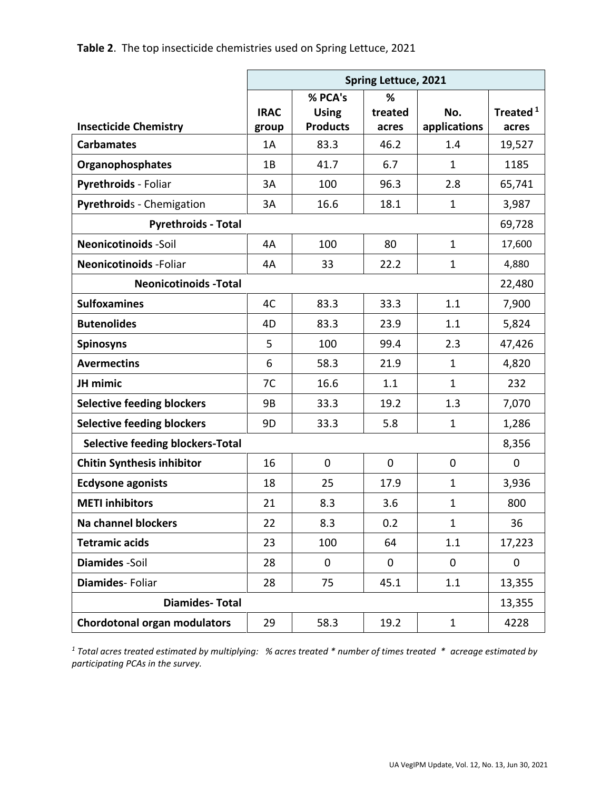|                                         | <b>Spring Lettuce, 2021</b> |                 |             |              |                      |
|-----------------------------------------|-----------------------------|-----------------|-------------|--------------|----------------------|
|                                         |                             | % PCA's         | %           |              |                      |
|                                         | <b>IRAC</b>                 | <b>Using</b>    | treated     | No.          | Treated <sup>1</sup> |
| <b>Insecticide Chemistry</b>            | group                       | <b>Products</b> | acres       | applications | acres                |
| <b>Carbamates</b>                       | 1A                          | 83.3            | 46.2        | 1.4          | 19,527               |
| Organophosphates                        | 1B                          | 41.7            | 6.7         | $\mathbf{1}$ | 1185                 |
| Pyrethroids - Foliar                    | 3A                          | 100             | 96.3        | 2.8          | 65,741               |
| Pyrethroids - Chemigation               | 3A                          | 16.6            | 18.1        | $\mathbf{1}$ | 3,987                |
| <b>Pyrethroids - Total</b>              |                             |                 |             |              | 69,728               |
| <b>Neonicotinoids -Soil</b>             | 4A                          | 100             | 80          | $\mathbf{1}$ | 17,600               |
| <b>Neonicotinoids - Foliar</b>          | 4A                          | 33              | 22.2        | $\mathbf 1$  | 4,880                |
| <b>Neonicotinoids - Total</b>           |                             |                 |             |              |                      |
| <b>Sulfoxamines</b>                     | 4C                          | 83.3            | 33.3        | 1.1          | 7,900                |
| <b>Butenolides</b>                      | 4D                          | 83.3            | 23.9        | 1.1          | 5,824                |
| <b>Spinosyns</b>                        | 5                           | 100             | 99.4        | 2.3          | 47,426               |
| <b>Avermectins</b>                      | 6                           | 58.3            | 21.9        | 1            | 4,820                |
| JH mimic                                | 7C                          | 16.6            | 1.1         | 1            | 232                  |
| <b>Selective feeding blockers</b>       | 9B                          | 33.3            | 19.2        | 1.3          | 7,070                |
| <b>Selective feeding blockers</b>       | 9D                          | 33.3            | 5.8         | 1            | 1,286                |
| <b>Selective feeding blockers-Total</b> |                             |                 |             |              | 8,356                |
| <b>Chitin Synthesis inhibitor</b>       | 16                          | $\mathbf 0$     | $\mathbf 0$ | $\mathbf 0$  | $\pmb{0}$            |
| <b>Ecdysone agonists</b>                | 18                          | 25              | 17.9        | 1            | 3,936                |
| <b>METI</b> inhibitors                  | 21                          | 8.3             | 3.6         | 1            | 800                  |
| <b>Na channel blockers</b>              | 22                          | 8.3             | 0.2         | $\mathbf{1}$ | 36                   |
| <b>Tetramic acids</b>                   | 23                          | 100             | 64          | 1.1          | 17,223               |
| Diamides -Soil                          | 28                          | $\mathbf 0$     | $\mathbf 0$ | $\mathbf 0$  | $\mathbf 0$          |
| Diamides-Foliar                         | 28                          | 75              | 45.1        | 1.1          | 13,355               |
| <b>Diamides-Total</b>                   |                             |                 |             |              | 13,355               |
| <b>Chordotonal organ modulators</b>     | 29                          | 58.3            | 19.2        | $\mathbf{1}$ | 4228                 |

*<sup>1</sup> Total acres treated estimated by multiplying: % acres treated \* number of times treated \* acreage estimated by participating PCAs in the survey.*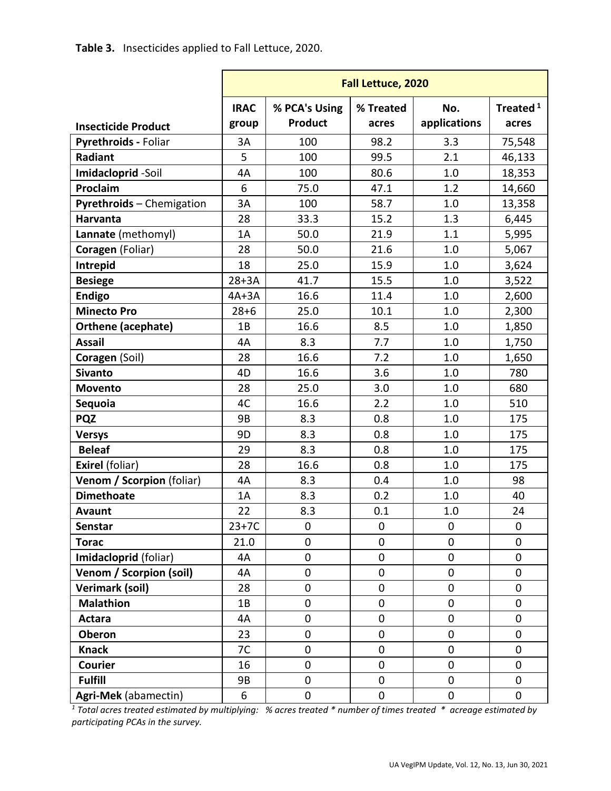|                            | Fall Lettuce, 2020 |                |             |              |                      |
|----------------------------|--------------------|----------------|-------------|--------------|----------------------|
|                            | <b>IRAC</b>        | % PCA's Using  | % Treated   | No.          | Treated <sup>1</sup> |
| <b>Insecticide Product</b> | group              | <b>Product</b> | acres       | applications | acres                |
| Pyrethroids - Foliar       | 3A                 | 100            | 98.2        | 3.3          | 75,548               |
| Radiant                    | 5                  | 100            | 99.5        | 2.1          | 46,133               |
| Imidacloprid-Soil          | 4A                 | 100            | 80.6        | 1.0          | 18,353               |
| Proclaim                   | 6                  | 75.0           | 47.1        | 1.2          | 14,660               |
| Pyrethroids - Chemigation  | 3A                 | 100            | 58.7        | 1.0          | 13,358               |
| Harvanta                   | 28                 | 33.3           | 15.2        | 1.3          | 6,445                |
| Lannate (methomyl)         | 1A                 | 50.0           | 21.9        | 1.1          | 5,995                |
| Coragen (Foliar)           | 28                 | 50.0           | 21.6        | 1.0          | 5,067                |
| Intrepid                   | 18                 | 25.0           | 15.9        | 1.0          | 3,624                |
| <b>Besiege</b>             | $28+3A$            | 41.7           | 15.5        | 1.0          | 3,522                |
| <b>Endigo</b>              | $4A+3A$            | 16.6           | 11.4        | 1.0          | 2,600                |
| <b>Minecto Pro</b>         | $28 + 6$           | 25.0           | 10.1        | 1.0          | 2,300                |
| Orthene (acephate)         | 1B                 | 16.6           | 8.5         | 1.0          | 1,850                |
| <b>Assail</b>              | 4A                 | 8.3            | 7.7         | 1.0          | 1,750                |
| Coragen (Soil)             | 28                 | 16.6           | 7.2         | 1.0          | 1,650                |
| <b>Sivanto</b>             | 4D                 | 16.6           | 3.6         | 1.0          | 780                  |
| Movento                    | 28                 | 25.0           | 3.0         | 1.0          | 680                  |
| Sequoia                    | 4C                 | 16.6           | 2.2         | 1.0          | 510                  |
| <b>PQZ</b>                 | 9B                 | 8.3            | 0.8         | 1.0          | 175                  |
| <b>Versys</b>              | 9D                 | 8.3            | 0.8         | 1.0          | 175                  |
| <b>Beleaf</b>              | 29                 | 8.3            | 0.8         | 1.0          | 175                  |
| <b>Exirel (foliar)</b>     | 28                 | 16.6           | 0.8         | 1.0          | 175                  |
| Venom / Scorpion (foliar)  | 4A                 | 8.3            | 0.4         | 1.0          | 98                   |
| <b>Dimethoate</b>          | 1A                 | 8.3            | 0.2         | 1.0          | 40                   |
| <b>Avaunt</b>              | 22                 | 8.3            | 0.1         | 1.0          | 24                   |
| Senstar                    | $23+7C$            | 0              | $\mathbf 0$ | 0            | 0                    |
| <b>Torac</b>               | 21.0               | 0              | $\mathbf 0$ | 0            | 0                    |
| Imidacloprid (foliar)      | 4A                 | 0              | 0           | 0            | 0                    |
| Venom / Scorpion (soil)    | 4A                 | $\overline{0}$ | $\mathbf 0$ | 0            | 0                    |
| <b>Verimark (soil)</b>     | 28                 | 0              | $\mathbf 0$ | 0            | 0                    |
| <b>Malathion</b>           | 1B                 | $\mathbf 0$    | $\mathbf 0$ | 0            | $\pmb{0}$            |
| <b>Actara</b>              | 4A                 | 0              | $\mathbf 0$ | 0            | 0                    |
| <b>Oberon</b>              | 23                 | 0              | 0           | 0            | 0                    |
| <b>Knack</b>               | 7C                 | 0              | $\mathbf 0$ | 0            | 0                    |
| <b>Courier</b>             | 16                 | 0              | 0           | 0            | 0                    |
| <b>Fulfill</b>             | 9B                 | 0              | $\mathbf 0$ | 0            | 0                    |
| Agri-Mek (abamectin)       | 6                  | 0              | $\pmb{0}$   | $\pmb{0}$    | 0                    |

*<sup>1</sup> Total acres treated estimated by multiplying: % acres treated \* number of times treated \* acreage estimated by participating PCAs in the survey.*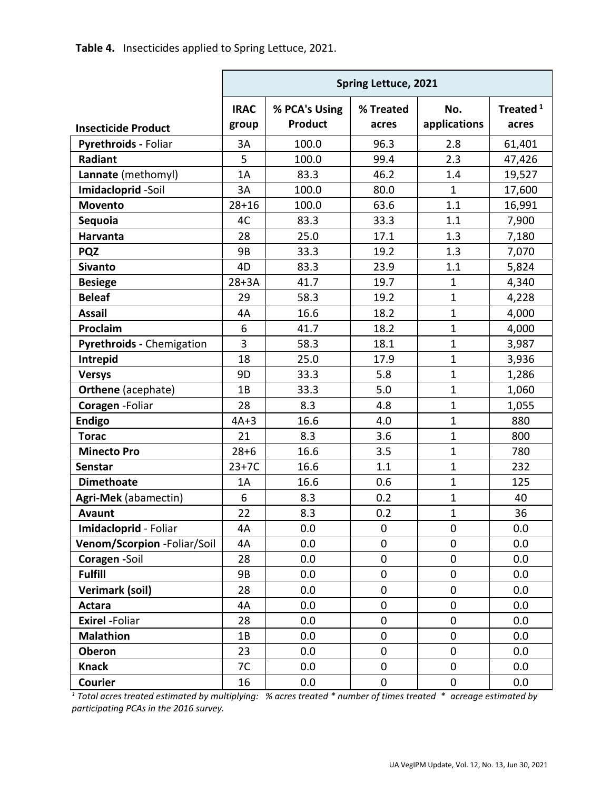Table 4. Insecticides applied to Spring Lettuce, 2021.

|                             | <b>Spring Lettuce, 2021</b> |                                 |                    |                     |                               |
|-----------------------------|-----------------------------|---------------------------------|--------------------|---------------------|-------------------------------|
| <b>Insecticide Product</b>  | <b>IRAC</b><br>group        | % PCA's Using<br><b>Product</b> | % Treated<br>acres | No.<br>applications | Treated <sup>1</sup><br>acres |
| Pyrethroids - Foliar        | 3A                          | 100.0                           | 96.3               | 2.8                 | 61,401                        |
| Radiant                     | 5                           | 100.0                           | 99.4               | 2.3                 | 47,426                        |
| Lannate (methomyl)          | 1A                          | 83.3                            | 46.2               | 1.4                 | 19,527                        |
| Imidacloprid-Soil           | 3A                          | 100.0                           | 80.0               | $\mathbf{1}$        | 17,600                        |
| <b>Movento</b>              | $28 + 16$                   | 100.0                           | 63.6               | 1.1                 | 16,991                        |
| Sequoia                     | 4C                          | 83.3                            | 33.3               | 1.1                 | 7,900                         |
| <b>Harvanta</b>             | 28                          | 25.0                            | 17.1               | 1.3                 | 7,180                         |
| <b>PQZ</b>                  | 9B                          | 33.3                            | 19.2               | 1.3                 | 7,070                         |
| <b>Sivanto</b>              | 4D                          | 83.3                            | 23.9               | 1.1                 | 5,824                         |
| <b>Besiege</b>              | $28+3A$                     | 41.7                            | 19.7               | $\mathbf 1$         | 4,340                         |
| <b>Beleaf</b>               | 29                          | 58.3                            | 19.2               | $\mathbf{1}$        | 4,228                         |
| <b>Assail</b>               | 4A                          | 16.6                            | 18.2               | $\mathbf 1$         | 4,000                         |
| Proclaim                    | 6                           | 41.7                            | 18.2               | $\mathbf{1}$        | 4,000                         |
| Pyrethroids - Chemigation   | 3                           | 58.3                            | 18.1               | $\mathbf{1}$        | 3,987                         |
| Intrepid                    | 18                          | 25.0                            | 17.9               | $\mathbf{1}$        | 3,936                         |
| <b>Versys</b>               | 9D                          | 33.3                            | 5.8                | $\mathbf{1}$        | 1,286                         |
| <b>Orthene</b> (acephate)   | 1B                          | 33.3                            | 5.0                | $\mathbf{1}$        | 1,060                         |
| Coragen - Foliar            | 28                          | 8.3                             | 4.8                | $\mathbf{1}$        | 1,055                         |
| <b>Endigo</b>               | $4A+3$                      | 16.6                            | 4.0                | $\mathbf{1}$        | 880                           |
| <b>Torac</b>                | 21                          | 8.3                             | 3.6                | $\mathbf{1}$        | 800                           |
| <b>Minecto Pro</b>          | $28 + 6$                    | 16.6                            | 3.5                | $\mathbf 1$         | 780                           |
| <b>Senstar</b>              | $23+7C$                     | 16.6                            | 1.1                | $\mathbf{1}$        | 232                           |
| <b>Dimethoate</b>           | 1A                          | 16.6                            | 0.6                | $\mathbf{1}$        | 125                           |
| Agri-Mek (abamectin)        | 6                           | 8.3                             | 0.2                | $\mathbf{1}$        | 40                            |
| <b>Avaunt</b>               | 22                          | 8.3                             | 0.2                | $\mathbf{1}$        | 36                            |
| Imidacloprid - Foliar       | 4A                          | 0.0                             | 0                  | $\mathbf 0$         | 0.0                           |
| Venom/Scorpion -Foliar/Soil | 4A                          | 0.0                             | $\pmb{0}$          | 0                   | 0.0                           |
| Coragen -Soil               | 28                          | 0.0                             | $\mathbf 0$        | 0                   | 0.0                           |
| <b>Fulfill</b>              | 9B                          | 0.0                             | $\pmb{0}$          | 0                   | 0.0                           |
| <b>Verimark (soil)</b>      | 28                          | 0.0                             | 0                  | 0                   | 0.0                           |
| Actara                      | 4A                          | 0.0                             | $\pmb{0}$          | 0                   | 0.0                           |
| <b>Exirel -Foliar</b>       | 28                          | 0.0                             | $\pmb{0}$          | $\overline{0}$      | 0.0                           |
| <b>Malathion</b>            | 1B                          | 0.0                             | $\pmb{0}$          | $\mathbf 0$         | 0.0                           |
| Oberon                      | 23                          | 0.0                             | $\pmb{0}$          | 0                   | 0.0                           |
| <b>Knack</b>                | 7C                          | 0.0                             | 0                  | 0                   | 0.0                           |
| Courier                     | 16                          | 0.0                             | $\pmb{0}$          | $\pmb{0}$           | 0.0                           |

 $1$  Total acres treated estimated by multiplying: % acres treated \* number of times treated \* acreage estimated by participating PCAs in the 2016 survey.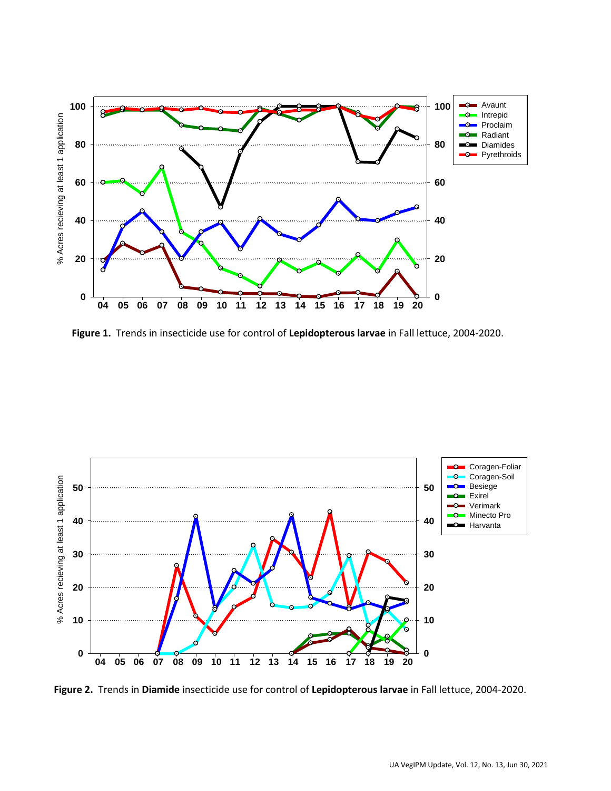

**Figure 1.** Trends in insecticide use for control of **Lepidopterous larvae** in Fall lettuce, 2004-2020.



**Figure 2.** Trends in **Diamide** insecticide use for control of **Lepidopterous larvae** in Fall lettuce, 2004-2020.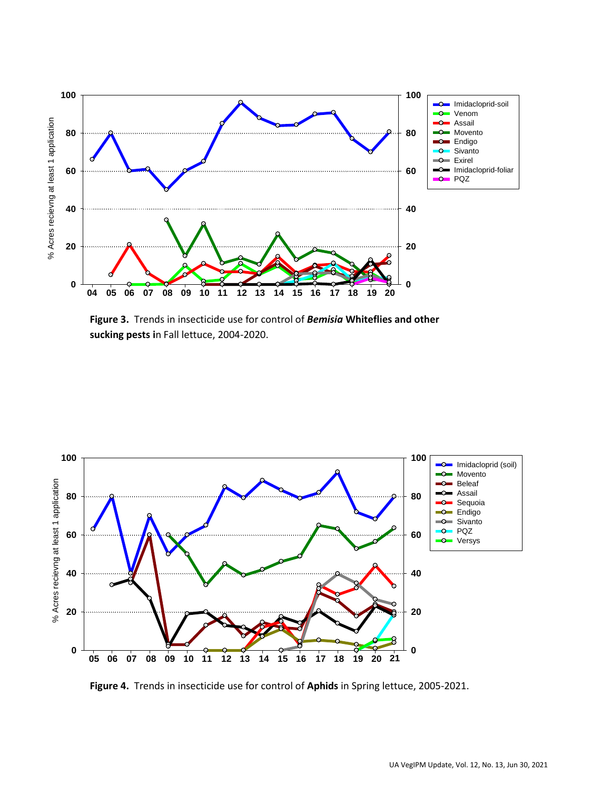

**Figure 3.** Trends in insecticide use for control of *Bemisia* **Whiteflies and other sucking pests i**n Fall lettuce, 2004-2020.



**Figure 4.** Trends in insecticide use for control of **Aphids** in Spring lettuce, 2005-2021.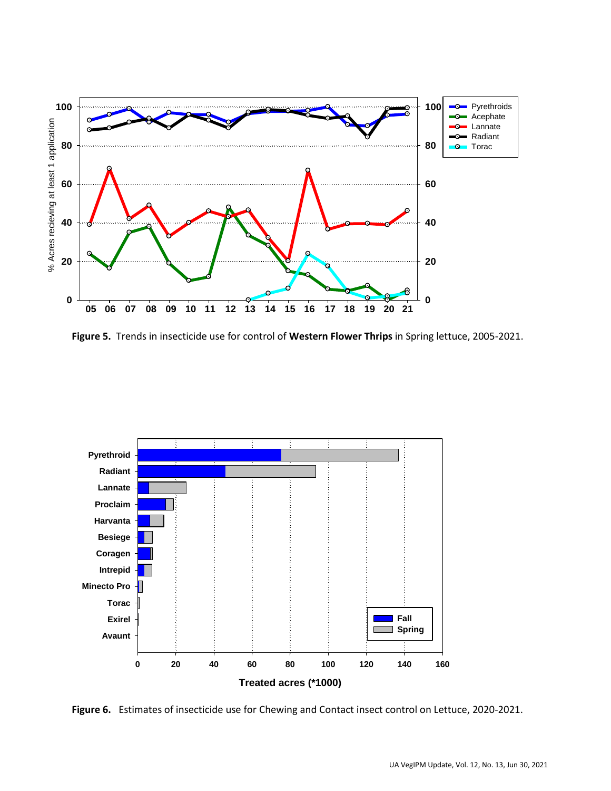

**Figure 5.** Trends in insecticide use for control of **Western Flower Thrips** in Spring lettuce, 2005-2021.



**Figure 6.** Estimates of insecticide use for Chewing and Contact insect control on Lettuce, 2020-2021.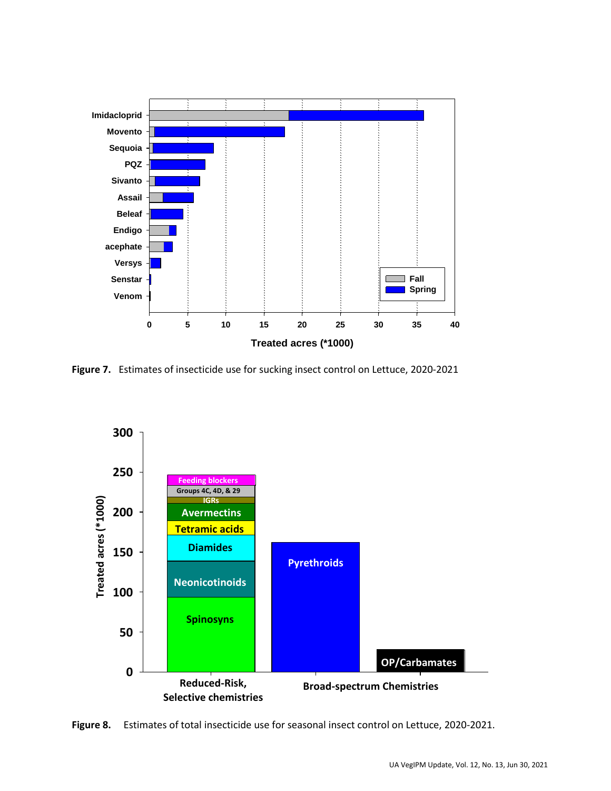

Figure 7. Estimates of insecticide use for sucking insect control on Lettuce, 2020-2021



Estimates of total insecticide use for seasonal insect control on Lettuce, 2020-2021. Figure 8.